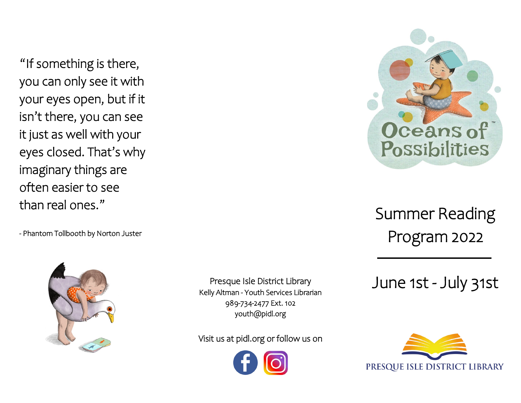"If something is there, you can only see it with your eyes open, but if it isn't there, you can see it just as well with your eyes closed. That's why imaginary things are often easier to see than real ones."

- Phantom Tollbooth by Norton Juster



Presque Isle District Library Kelly Altman - Youth Services Librarian 989-734-2477 Ext. 102 youth@pidl.org

Visit us at pidl.org or follow us on





Summer Reading Program 2022

June 1st - July 31st